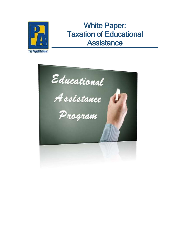

## White Paper: Taxation of Educational **Assistance**

**The Payroll Advisor** 

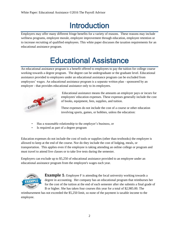## Introduction

Employers may offer many different fringe benefits for a variety of reasons. These reasons may include wellness programs, employee morale, employee improvement through education, employee retention or to increase recruiting of qualified employees. This white paper discusses the taxation requirements for an educational assistance program.

## Educational Assistance

An educational assistance program is a benefit offered to employees to pay the tuition for college course working towards a degree program. The degree can be undergraduate or the graduate level. Educational assistance provided to employees under an educational assistance program can be excluded from employees' wages. An educational assistance program is a separate written plan - sponsored by an employer - that provides educational assistance only to its employees.



Educational assistance means the amounts an employer pays or incurs for employees' education expenses. These expenses generally include the cost of books, equipment, fees, supplies, and tuition.

These expenses do not include the cost of a course or other education involving sports, games, or hobbies, unless the education:

- Has a reasonable relationship to the employer's business, or
- Is required as part of a degree program

Education expenses do not include the cost of tools or supplies (other than textbooks) the employee is allowed to keep at the end of the course. Nor do they include the cost of lodging, meals, or transportation. This applies even if the employee is taking attending an online college or program and must travel to attend live classes or to take live tests during the semester.

Employers can exclude up to \$5,250 of educational assistance provided to an employee under an educational assistance program from the employee's wages each year.



**Example 1:** Employee F is attending the local university working towards a degree in accounting. Her company has an educational program that reimburses her for the cost of the tuition at the end of each semester after she submits a final grade of B or higher. She has taken four courses this year for a total of \$2,985.00. The

reimbursement has not exceeded the \$5,250 limit, so none of the payment is taxable income to the employee.